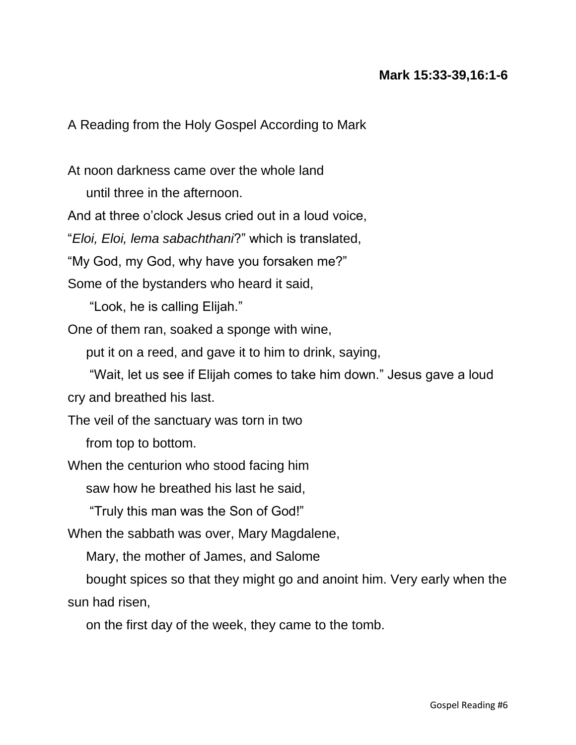A Reading from the Holy Gospel According to Mark

At noon darkness came over the whole land

until three in the afternoon.

And at three o'clock Jesus cried out in a loud voice,

"*Eloi, Eloi, lema sabachthani*?" which is translated,

"My God, my God, why have you forsaken me?"

Some of the bystanders who heard it said,

"Look, he is calling Elijah."

One of them ran, soaked a sponge with wine,

put it on a reed, and gave it to him to drink, saying,

 "Wait, let us see if Elijah comes to take him down." Jesus gave a loud cry and breathed his last.

The veil of the sanctuary was torn in two

from top to bottom.

When the centurion who stood facing him

saw how he breathed his last he said,

"Truly this man was the Son of God!"

When the sabbath was over, Mary Magdalene,

Mary, the mother of James, and Salome

 bought spices so that they might go and anoint him. Very early when the sun had risen,

on the first day of the week, they came to the tomb.